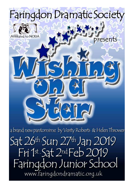

www.faringdondramatic.org.uk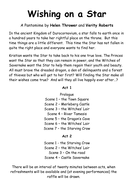# Wishing on a Star

# A Pantomime by Helen Thrower and Verity Roberts

In the ancient Kingdom of Durocornovium, a star falls to earth once in a hundred years to take her rightful place on the throne. But this time things are a little different. This time the Star has not fallen in quite the right place and everyone wants to find her.

Kristian wants the Star to take back to his one true love. The Princes want the Star so that they can remain in power, and the Witches of Savernake want the Star to help them regain their youth and beauty. All must brave the dreaded dragon, a den of delinquents and a forest of thieves but who will get to her first? Will finding the Star make all their wishes come true? And will they all live happily ever after…?

#### $Art 1$

Prologue Scene 1 – the Town Square Scene 2 – Merleberg Castle Scene 3 – the Witches' Lair Scene 4 – River Tamesis Scene 5 – the Dragon's Cave Scene 6 – the Witches' Lair Scene 7 – the Starving Crow

#### Act 2

Scene 1 - the Starving Crow Scene 2 – the Witches' Lair Scene 3 – On the road Scene 4 – Castle Savernake

There will be an interval of twenty minutes between acts, when refreshments will be available and (at evening performances) the raffle will be drawn.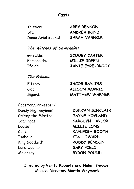## Cast:

| Kristian:          | <b>ABBY BENSON</b>  |
|--------------------|---------------------|
| Star:              | ANDREA BOND         |
| Dame Ariel Bucket: | <b>SARAH VARNOM</b> |

#### The Witches of Savernake:

| Griselda:  | <b>SCOOBY CARTER</b>    |
|------------|-------------------------|
| Esmerelda: | <b>MILLIE GREEN</b>     |
| Ifelda:    | <b>JANIE EYRE-BROOK</b> |

#### The Princes:

| Fitzroy: | <b>JACOB BAYLISS</b>  |
|----------|-----------------------|
| Odo:     | <b>ALISON MORRIS</b>  |
| Sigurd:  | <b>MATTHEW WARNER</b> |

Boatman/Innkeeper/ Dandy Highwayman: **DUNCAN SINCLAIR** Galaxy the Minstrel: JAYNE HOYLAND Scaringas: CAROLYN TAYLOR Louisa: MILLIE LONG Clara: KAYLEIGH BOOTH Isabella: KIA HOWARD King Goddard: RODDY BENSON Lord Uppham: GARY FIELD

Malarkey: BYRON POUND

Directed by Verity Roberts and Helen Thrower Musical Director: Martin Waymark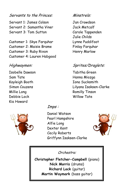#### Servants to the Princes:

Servant 1: James Colson Servant 2: Samantha Viner Servant 3: Tom Sutton

Customer 1: Skye Farquhar Customer 2: Maisie Brame Customer 3: Ruby Rixon Customer 4: Lauren Habgood

#### Highwaymen:

Isobelle Dawson Sam Tate Kayleigh Booth Simon Couzens Millie Long Debbie Lock Kia Howard



Imps :

Daniel Watson Pearl Hampshire Alfie Long Dexter Kent Cecily Roberts Griffynn Isaksen-Clarke



Orchestra:

Christopher Fletcher-Campbell (piano) Nick Morris (drums) Richard Lock (guitar) Martin Waymark (bass guitar)

#### Minstrels:

Jan Crowdson Jack Metcalf Carole Tappenden Julie Childs Lynne Puddifoot Finlay Farquhar Henry Marlow

## Sprites/Draglets:

Tabitha Green Hanna Miozga Iona Sucksmith Lilyana Isaksen-Clarke Romilly Tinson Willow Tate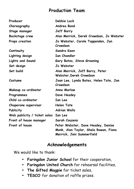# Production Team

| Producer                     | Debbie Lock                                                                                              |
|------------------------------|----------------------------------------------------------------------------------------------------------|
| Choreography                 | Andrea Bond                                                                                              |
| Stage manager                | <b>Jeff Barry</b>                                                                                        |
| <b>Backstage crew</b>        | Alan Merrick, Derek Crowdson, Jo Webster                                                                 |
| Props creation               | Jo Webster, Carole Tappenden, Jan<br>Crowdson                                                            |
| Continuity                   | Sandra Keen                                                                                              |
| Lighting design              | <b>Ian Chandler</b>                                                                                      |
| <b>Lights and Sound</b>      | Gary Bates, Steve Greening                                                                               |
| Set design                   | Jo Webster                                                                                               |
| Set build                    | Alan Merrick, Jeff Barry, Peter<br>Webster, Derek Crowdson                                               |
| Costume                      | Joan Lee, Lynda Bates, Helen Tate, Jan<br>Crowdson                                                       |
| Makeup co-ordinator          | Anna Marlow                                                                                              |
| Programmes                   | Dave Headey                                                                                              |
| Child co-ordinator           | Ian Lee                                                                                                  |
| Chaperone supervisor         | <b>Helen Tate</b>                                                                                        |
| Publicity                    | <b>Adrian Wells</b>                                                                                      |
| Web publicity / ticket sales | Ian Lee                                                                                                  |
| Front of house manager       | Sarah Couzens                                                                                            |
| Front of house               | Peter Webster, Dave Headey, Denise<br>Monk, Alan Taylor, Shela Rowan, Fiona<br>Merrick, Jeni Summerfield |

# Acknowledgements

We would like to thank:

- Faringdon Junior School for their cooperation,
- Faringdon United Church for rehearsal facilities,
- The Gifted Magpie for ticket sales,
- TESCO for donation of raffle prizes.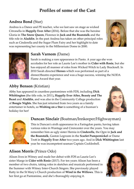# Profiles of some of the Cast

## Andrea Bond (Star)

Andrea is a Dance and PE teacher, who we last saw on stage as wicked Citronella in Happily Ever After (2016). Before that she was the heroine Gloria in The Snow Queen, Florence in Jack and the Beanstalk and the title role in Aladdin. In the past Andrea has taken on other principal roles such as Cinderella and the Sugar Plum Fairy and her highlight to date was representing her county in the Millennium Dome in 2000.





## Sarah Varnom (Dame)

Sarah is making a rare appearance in Panto. A year ago she won accolades for her role as Laurie Lee's mother in Cider with Rosie, but she has enjoyed all manner of roles from Wicked Witch to Lady Bracknell. In 2010 Sarah directed Heroes which was performed as part of a dinner/theatre experience and was a huge success, winning the NODA Flame Award that year.

## Abby Benson (Kristian)

Abby has appeared in countless pantomimes with FDS, including Dick Whittington (the title role, in 2011), Happily Ever After, Beauty and The Beast and Aladdin, and was also in the Community College production of Boogie Nights. She has just returned from two years as a family entertainer in hotels, so Wishing on a Star is something of a busman's holiday for her!





#### Duncan Sinclair (Boatman/Innkeeper/Highwayman)

This is Duncan's sixth appearance in a Faringdon panto, having taken various roles in Wantage and Cirencester over the years. You may remember him as ugly sister Hernia in Cinderella, the Ogre in Jack and the Beanstalk, Gaston Legroom in the Scarlet Pumpernickel or Dame Trott in Happily Ever After two years ago. And in Dick Whittington last year he was incompetent seaman Captain Cockleshell.

## Alison Morris (Prince Odo)

Alison lives in Witney and made her debut with FDS as Laurie Lee's sister Marge in Cider with Rosie (2017). For ten years Alison has been a member of two choirs, taking roles in sketches and musicals performed in the Summer with Witney Inter-Church Singers. She previously played Ratty in the St Mary's Church production of Wind in the Willows. This is her first go at Pantomime, and she's thoroughly enjoying it.

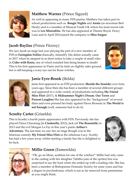

# Matthew Warner (Prince Sigurd)

As well as appearing in many FDS pantos, Matthew has taken part in school productions such as Boogie Nights and Annie (as newsman Bert Healy) and is a member of Musical Youth UK where his most recent role was in Les Miserables. He has also appeared at Theatre Royal, Drury Lane and in April 2014 joined the company in Miss Saigon.

## Jacob Bayliss (Prince Fitzroy)

We saw Jacob on stage last year playing the part of a new member of FDS in Faringdon Follies (basically, himself!). His debut actually came in 2017 when he stepped in at short notice to take a couple of small roles in Cider with Rosie, one of which entailed him being beaten to death! This is his first appearance in Panto and he feels on slightly safer ground, but is still keeping a wary eye out for those witches.





#### Janie Eyre-Brook (Ifelda)

Janie first appeared in an FDS production (Beside the Seaside) over forty years ago. Since then she has been a member of several different groups and appeared in a wide variety of productions including My Friend Miss Flint (2017), A Midsummer Night's Dream, Our Town and Present Laughter She has also appeared in the "background" of several films and even pressed her body against Pierce Brosnan in The World is not Enough (well, someone had to do it).

# Scooby Carter (Griselda)

This is Scooby's fourth panto appearance with FDS. Previously she has played Prince Charming (in Cinderella, 2012), Jack (of The Beanstalk) in 2013 and the evil Morgan Le Fay in this year's panto Arthur's Adventure. The last time we saw her on stage though was in the hilarious comedy My Friend Miss Flint as the infamous Lucy. Scooby has had a few years away whilst starting a family but she is delighted to be back.





## Millie Green (Esmerelda)

"Oh, go on Mum, audition for one of the witches!" Millie had only come to the casting with her daughter Tabitha (one of the sprites) but was surprised to say the least when she ended up with a leading role. She has been a member of Bishopstone Dramatic Society for some years and has a degree in psychodrama, which is not as far removed from pantomime as you might think.